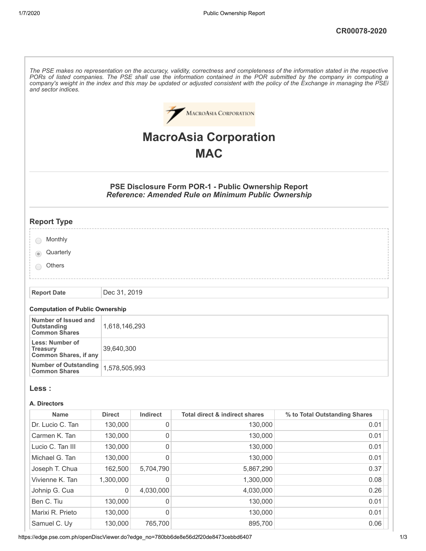| and sector indices.                                                       |               |                  |                                                                                                                   | The PSE makes no representation on the accuracy, validity, correctness and completeness of the information stated in the respective<br>PORs of listed companies. The PSE shall use the information contained in the POR submitted by the company in computing a<br>company's weight in the index and this may be updated or adjusted consistent with the policy of the Exchange in managing the PSEi |
|---------------------------------------------------------------------------|---------------|------------------|-------------------------------------------------------------------------------------------------------------------|------------------------------------------------------------------------------------------------------------------------------------------------------------------------------------------------------------------------------------------------------------------------------------------------------------------------------------------------------------------------------------------------------|
|                                                                           |               |                  | <b>MACROASIA CORPORATION</b>                                                                                      |                                                                                                                                                                                                                                                                                                                                                                                                      |
|                                                                           |               |                  | <b>MacroAsia Corporation</b>                                                                                      |                                                                                                                                                                                                                                                                                                                                                                                                      |
|                                                                           |               |                  | <b>MAC</b>                                                                                                        |                                                                                                                                                                                                                                                                                                                                                                                                      |
|                                                                           |               |                  |                                                                                                                   |                                                                                                                                                                                                                                                                                                                                                                                                      |
|                                                                           |               |                  | PSE Disclosure Form POR-1 - Public Ownership Report<br><b>Reference: Amended Rule on Minimum Public Ownership</b> |                                                                                                                                                                                                                                                                                                                                                                                                      |
| <b>Report Type</b>                                                        |               |                  |                                                                                                                   |                                                                                                                                                                                                                                                                                                                                                                                                      |
| Monthly                                                                   |               |                  |                                                                                                                   |                                                                                                                                                                                                                                                                                                                                                                                                      |
| Quarterly                                                                 |               |                  |                                                                                                                   |                                                                                                                                                                                                                                                                                                                                                                                                      |
| <b>Others</b>                                                             |               |                  |                                                                                                                   |                                                                                                                                                                                                                                                                                                                                                                                                      |
| <b>Report Date</b>                                                        | Dec 31, 2019  |                  |                                                                                                                   |                                                                                                                                                                                                                                                                                                                                                                                                      |
| <b>Computation of Public Ownership</b>                                    |               |                  |                                                                                                                   |                                                                                                                                                                                                                                                                                                                                                                                                      |
| Number of Issued and<br><b>Outstanding</b><br><b>Common Shares</b>        | 1,618,146,293 |                  |                                                                                                                   |                                                                                                                                                                                                                                                                                                                                                                                                      |
| <b>Less: Number of</b><br><b>Treasury</b><br><b>Common Shares, if any</b> | 39,640,300    |                  |                                                                                                                   |                                                                                                                                                                                                                                                                                                                                                                                                      |
| <b>Number of Outstanding</b><br><b>Common Shares</b>                      | 1,578,505,993 |                  |                                                                                                                   |                                                                                                                                                                                                                                                                                                                                                                                                      |
| Less :                                                                    |               |                  |                                                                                                                   |                                                                                                                                                                                                                                                                                                                                                                                                      |
| A. Directors                                                              |               |                  |                                                                                                                   |                                                                                                                                                                                                                                                                                                                                                                                                      |
| <b>Name</b>                                                               | <b>Direct</b> | Indirect         | <b>Total direct &amp; indirect shares</b>                                                                         | % to Total Outstanding Shares                                                                                                                                                                                                                                                                                                                                                                        |
| Dr. Lucio C. Tan                                                          | 130,000       | $\boldsymbol{0}$ | 130,000                                                                                                           | 0.01                                                                                                                                                                                                                                                                                                                                                                                                 |
| Carmen K. Tan                                                             | 130,000       | $\boldsymbol{0}$ | 130,000                                                                                                           | 0.01                                                                                                                                                                                                                                                                                                                                                                                                 |
| Lucio C. Tan III                                                          | 130,000       | $\mathbf 0$      | 130,000                                                                                                           | 0.01                                                                                                                                                                                                                                                                                                                                                                                                 |
| Michael G. Tan                                                            | 130,000       | $\mathbf 0$      | 130,000                                                                                                           | 0.01                                                                                                                                                                                                                                                                                                                                                                                                 |
| Joseph T. Chua                                                            | 162,500       | 5,704,790        | 5,867,290                                                                                                         | 0.37                                                                                                                                                                                                                                                                                                                                                                                                 |
| Vivienne K. Tan                                                           | 1,300,000     | 0                | 1,300,000                                                                                                         | 0.08                                                                                                                                                                                                                                                                                                                                                                                                 |
| Johnip G. Cua                                                             | 0             | 4,030,000        | 4,030,000                                                                                                         | 0.26                                                                                                                                                                                                                                                                                                                                                                                                 |
| Ben C. Tiu                                                                | 130,000       | 0                | 130,000                                                                                                           | 0.01                                                                                                                                                                                                                                                                                                                                                                                                 |
| Marixi R. Prieto                                                          | 130,000       | $\mathbf 0$      | 130,000                                                                                                           | 0.01                                                                                                                                                                                                                                                                                                                                                                                                 |
| Samuel C. Uy                                                              | 130,000       | 765,700          | 895,700                                                                                                           | 0.06                                                                                                                                                                                                                                                                                                                                                                                                 |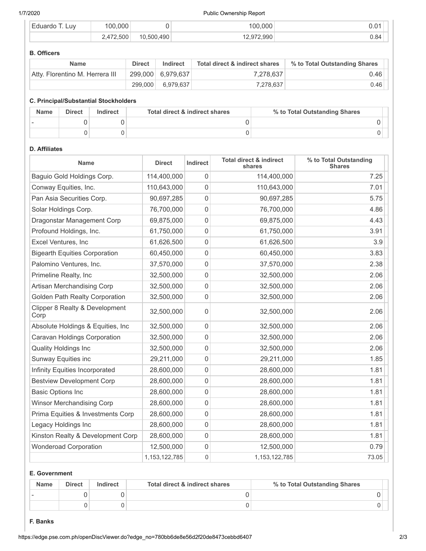#### 1/7/2020 Public Ownership Report

| $\overline{\phantom{0}}$<br>LUV<br>∴⊢duardr | .000<br>n            |          | റററ<br>ന |      |
|---------------------------------------------|----------------------|----------|----------|------|
|                                             | .472.500<br><u>.</u> | .500.490 | .990     | 0.84 |

#### **B. Officers**

| <b>Name</b>                     | <b>Direct</b> | Indirect            | Total direct & indirect shares | % to Total Outstanding Shares |
|---------------------------------|---------------|---------------------|--------------------------------|-------------------------------|
| Atty. Florentino M. Herrera III |               | $299,000$ 6,979,637 | 7.278.637                      | 0.46                          |
|                                 | 299.000       | 6,979,637           | 7,278,637                      | 0.46                          |

### **C. Principal/Substantial Stockholders**

| <b>Name</b> | <b>Direct</b> | Indirect | Total direct & indirect shares | % to Total Outstanding Shares |
|-------------|---------------|----------|--------------------------------|-------------------------------|
|             |               |          |                                |                               |
|             |               |          |                                |                               |

# **D. Affiliates**

| Name                                   | <b>Direct</b>    | Indirect | <b>Total direct &amp; indirect</b><br>shares | % to Total Outstanding<br><b>Shares</b> |
|----------------------------------------|------------------|----------|----------------------------------------------|-----------------------------------------|
| Baguio Gold Holdings Corp.             | 114,400,000      | 0        | 114,400,000                                  | 7.25                                    |
| Conway Equities, Inc.                  | 110,643,000      | 0        | 110,643,000                                  | 7.01                                    |
| Pan Asia Securities Corp.              | 90,697,285       | 0        | 90,697,285                                   | 5.75                                    |
| Solar Holdings Corp.                   | 76,700,000       | 0        | 76,700,000                                   | 4.86                                    |
| Dragonstar Management Corp             | 69,875,000       | 0        | 69,875,000                                   | 4.43                                    |
| Profound Holdings, Inc.                | 61,750,000       | 0        | 61,750,000                                   | 3.91                                    |
| Excel Ventures, Inc                    | 61,626,500       | 0        | 61,626,500                                   | 3.9                                     |
| <b>Bigearth Equities Corporation</b>   | 60,450,000       | 0        | 60,450,000                                   | 3.83                                    |
| Palomino Ventures, Inc.                | 37,570,000       | 0        | 37,570,000                                   | 2.38                                    |
| Primeline Realty, Inc                  | 32,500,000       | 0        | 32,500,000                                   | 2.06                                    |
| Artisan Merchandising Corp             | 32,500,000       | 0        | 32,500,000                                   | 2.06                                    |
| Golden Path Realty Corporation         | 32,500,000       | 0        | 32,500,000                                   | 2.06                                    |
| Clipper 8 Realty & Development<br>Corp | 32,500,000       | 0        | 32,500,000                                   | 2.06                                    |
| Absolute Holdings & Equities, Inc      | 32,500,000       | 0        | 32,500,000                                   | 2.06                                    |
| Caravan Holdings Corporation           | 32,500,000       | 0        | 32,500,000                                   | 2.06                                    |
| <b>Quality Holdings Inc</b>            | 32,500,000       | 0        | 32,500,000                                   | 2.06                                    |
| Sunway Equities inc                    | 29,211,000       | 0        | 29,211,000                                   | 1.85                                    |
| Infinity Equities Incorporated         | 28,600,000       | 0        | 28,600,000                                   | 1.81                                    |
| <b>Bestview Development Corp</b>       | 28,600,000       | 0        | 28,600,000                                   | 1.81                                    |
| <b>Basic Options Inc</b>               | 28,600,000       | 0        | 28,600,000                                   | 1.81                                    |
| <b>Winsor Merchandising Corp</b>       | 28,600,000       | 0        | 28,600,000                                   | 1.81                                    |
| Prima Equities & Investments Corp      | 28,600,000       | 0        | 28,600,000                                   | 1.81                                    |
| Legacy Holdings Inc                    | 28,600,000       | 0        | 28,600,000                                   | 1.81                                    |
| Kinston Realty & Development Corp      | 28,600,000       | 0        | 28,600,000                                   | 1.81                                    |
| <b>Wonderoad Corporation</b>           | 12,500,000       | 0        | 12,500,000                                   | 0.79                                    |
|                                        | 1, 153, 122, 785 | 0        | 1,153,122,785                                | 73.05                                   |

# **E. Government**

| <b>Name</b> | <b>Direct</b> | Indirect | Total direct & indirect shares | % to Total Outstanding Shares |
|-------------|---------------|----------|--------------------------------|-------------------------------|
|             |               |          |                                |                               |
|             |               |          |                                |                               |

### **F. Banks**